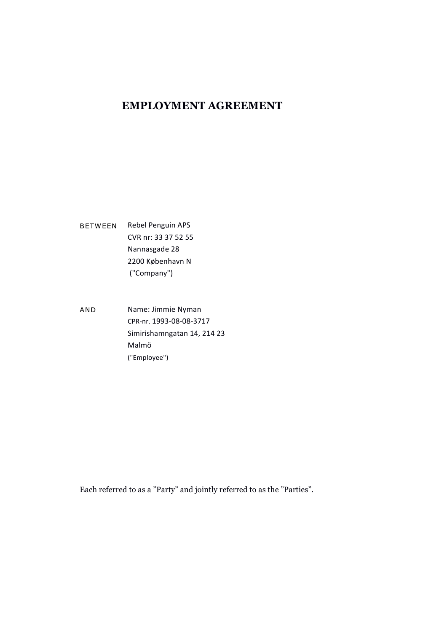## **EMPLOYMENT AGREEMENT**

BETWEEN Rebel Penguin APS CVR nr: 33 37 52 55 Nannasgade 28 2200 København N ("Company")

AND Name: Jimmie Nyman CPR-nr. 1993-08-08-3717 Simirishamngatan 14, 214 23 Malmö ("Employee")

Each referred to as a "Party" and jointly referred to as the "Parties".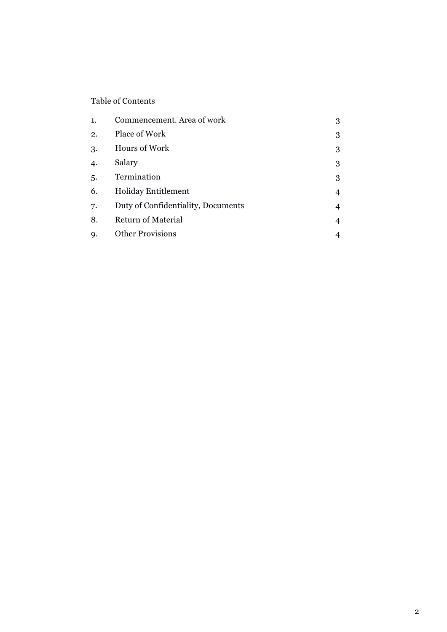### Table of Contents

| 1. | Commencement. Area of work         | 3 |
|----|------------------------------------|---|
| 2. | Place of Work                      | 3 |
| 3. | Hours of Work                      | 3 |
| 4. | Salary                             | 3 |
| 5. | Termination                        | 3 |
| 6. | <b>Holiday Entitlement</b>         | 4 |
| 7. | Duty of Confidentiality, Documents | 4 |
| 8. | <b>Return of Material</b>          | 4 |
| 9. | <b>Other Provisions</b>            |   |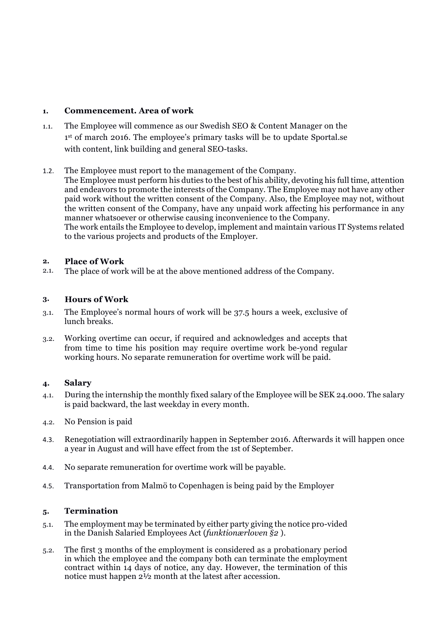#### **1. Commencement. Area of work**

- 1.1. The Employee will commence as our Swedish SEO & Content Manager on the 1st of march 2016. The employee's primary tasks will be to update Sportal.se with content, link building and general SEO-tasks.
- 1.2. The Employee must report to the management of the Company.

The Employee must perform his duties to the best of his ability, devoting his full time, attention and endeavors to promote the interests of the Company. The Employee may not have any other paid work without the written consent of the Company. Also, the Employee may not, without the written consent of the Company, have any unpaid work affecting his performance in any manner whatsoever or otherwise causing inconvenience to the Company. The work entails the Employee to develop, implement and maintain various IT Systems related to the various projects and products of the Employer.

#### **2. Place of Work**

2.1. The place of work will be at the above mentioned address of the Company.

#### **3. Hours of Work**

- 3.1. The Employee's normal hours of work will be 37.5 hours a week, exclusive of lunch breaks.
- 3.2. Working overtime can occur, if required and acknowledges and accepts that from time to time his position may require overtime work be-yond regular working hours. No separate remuneration for overtime work will be paid.

#### **4. Salary**

- 4.1. During the internship the monthly fixed salary of the Employee will be SEK 24.000. The salary is paid backward, the last weekday in every month.
- 4.2. No Pension is paid
- 4.3. Renegotiation will extraordinarily happen in September 2016. Afterwards it will happen once a year in August and will have effect from the 1st of September.
- 4.4. No separate remuneration for overtime work will be payable.
- 4.5. Transportation from Malmö to Copenhagen is being paid by the Employer

#### **5. Termination**

- 5.1. The employment may be terminated by either party giving the notice pro-vided in the Danish Salaried Employees Act (*funktionærloven §2* ).
- 5.2. The first 3 months of the employment is considered as a probationary period in which the employee and the company both can terminate the employment contract within 14 days of notice, any day. However, the termination of this notice must happen 2½ month at the latest after accession.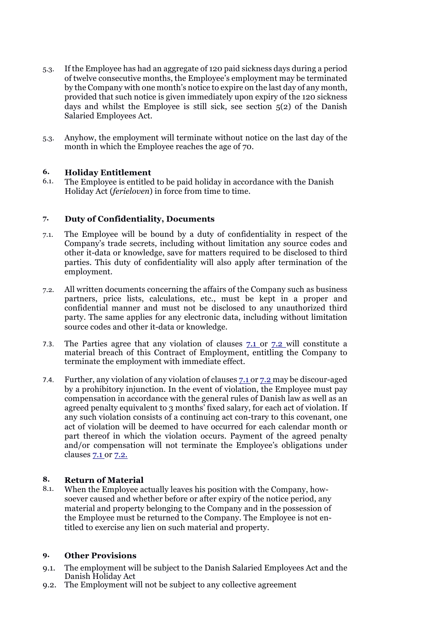- 5.3. If the Employee has had an aggregate of 120 paid sickness days during a period of twelve consecutive months, the Employee's employment may be terminated by the Company with one month's notice to expire on the last day of any month, provided that such notice is given immediately upon expiry of the 120 sickness days and whilst the Employee is still sick, see section 5(2) of the Danish Salaried Employees Act.
- 5.3. Anyhow, the employment will terminate without notice on the last day of the month in which the Employee reaches the age of 70.

#### **6. Holiday Entitlement**

6.1. The Employee is entitled to be paid holiday in accordance with the Danish Holiday Act (*ferieloven*) in force from time to time.

#### **7. Duty of Confidentiality, Documents**

- 7.1. The Employee will be bound by a duty of confidentiality in respect of the Company's trade secrets, including without limitation any source codes and other it-data or knowledge, save for matters required to be disclosed to third parties. This duty of confidentiality will also apply after termination of the employment.
- 7.2. All written documents concerning the affairs of the Company such as business partners, price lists, calculations, etc., must be kept in a proper and confidential manner and must not be disclosed to any unauthorized third party. The same applies for any electronic data, including without limitation source codes and other it-data or knowledge.
- 7.3. The Parties agree that any violation of clauses 7.1 or 7.2 will constitute a material breach of this Contract of Employment, entitling the Company to terminate the employment with immediate effect.
- 7.4. Further, any violation of any violation of clauses 7.1 or 7.2 may be discour-aged by a prohibitory injunction. In the event of violation, the Employee must pay compensation in accordance with the general rules of Danish law as well as an agreed penalty equivalent to 3 months' fixed salary, for each act of violation. If any such violation consists of a continuing act con-trary to this covenant, one act of violation will be deemed to have occurred for each calendar month or part thereof in which the violation occurs. Payment of the agreed penalty and/or compensation will not terminate the Employee's obligations under clauses 7.1 or 7.2.

# **8. Return of Material**

When the Employee actually leaves his position with the Company, howsoever caused and whether before or after expiry of the notice period, any material and property belonging to the Company and in the possession of the Employee must be returned to the Company. The Employee is not entitled to exercise any lien on such material and property.

#### **9. Other Provisions**

- 9.1. The employment will be subject to the Danish Salaried Employees Act and the Danish Holiday Act
- 9.2. The Employment will not be subject to any collective agreement